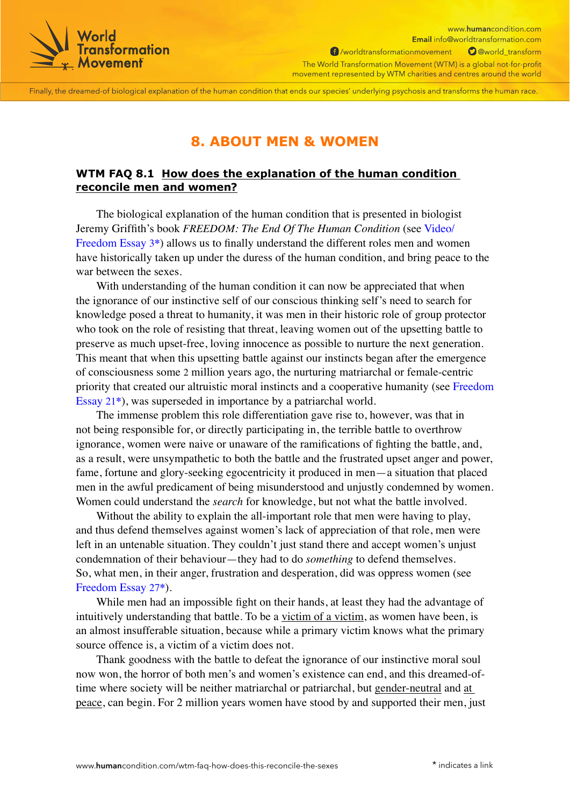

www.humancondition.com Email info@worldtransformation.com 1 /worldtransformationmovement O @world\_transform The World Transformation Movement (WTM) is a global not-for-profit movement represented by WTM charities and centres around the world

Finally, the dreamed-of biological explanation of the human condition that ends our species' underlying psychosis and transforms the human race.

## **8. ABOUT MEN & WOMEN**

## **WTM FAQ 8.1 How does the explanation of the human condition reconcile men and women?**

The biological explanation of the human condition that is presented in biologist Jeremy Griffith's book *FREEDOM: The End Of The Human Condition* (see [Video/](https://www.humancondition.com/freedom-essays/the-explanation-of-the-human-condition/?utm_source=wtm-pdf-ebook&utm_campaign=pdf_webpage-click_wtm-faq-how-does-this-reconcile-the-sexes&utm_medium=pdf&utm_term=V200803&utm_content=link-to_/freedom-essays/the-explanation-of-the-human-condition/) [Freedom Essay 3](https://www.humancondition.com/freedom-essays/the-explanation-of-the-human-condition/?utm_source=wtm-pdf-ebook&utm_campaign=pdf_webpage-click_wtm-faq-how-does-this-reconcile-the-sexes&utm_medium=pdf&utm_term=V200803&utm_content=link-to_/freedom-essays/the-explanation-of-the-human-condition/)**\***) allows us to finally understand the different roles men and women have historically taken up under the duress of the human condition, and bring peace to the war between the sexes.

With understanding of the human condition it can now be appreciated that when the ignorance of our instinctive self of our conscious thinking self's need to search for knowledge posed a threat to humanity, it was men in their historic role of group protector who took on the role of resisting that threat, leaving women out of the upsetting battle to preserve as much upset-free, loving innocence as possible to nurture the next generation. This meant that when this upsetting battle against our instincts began after the emergence of consciousness some 2 million years ago, the nurturing matriarchal or female-centric priority that created our altruistic moral instincts and a cooperative humanity (see [Freedom](https://www.humancondition.com/freedom-essays/how-did-we-humans-acquire-our-altruistic-moral-conscience/?utm_source=wtm-pdf-ebook&utm_campaign=pdf_webpage-click_wtm-faq-how-does-this-reconcile-the-sexes&utm_medium=pdf&utm_term=V200803&utm_content=link-to_/freedom-essays/how-did-we-humans-acquire-our-altruistic-moral-conscience/)  [Essay 21](https://www.humancondition.com/freedom-essays/how-did-we-humans-acquire-our-altruistic-moral-conscience/?utm_source=wtm-pdf-ebook&utm_campaign=pdf_webpage-click_wtm-faq-how-does-this-reconcile-the-sexes&utm_medium=pdf&utm_term=V200803&utm_content=link-to_/freedom-essays/how-did-we-humans-acquire-our-altruistic-moral-conscience/)**\***), was superseded in importance by a patriarchal world.

The immense problem this role differentiation gave rise to, however, was that in not being responsible for, or directly participating in, the terrible battle to overthrow ignorance, women were naive or unaware of the ramifications of fighting the battle, and, as a result, were unsympathetic to both the battle and the frustrated upset anger and power, fame, fortune and glory-seeking egocentricity it produced in men—a situation that placed men in the awful predicament of being misunderstood and unjustly condemned by women. Women could understand the *search* for knowledge, but not what the battle involved.

Without the ability to explain the all-important role that men were having to play, and thus defend themselves against women's lack of appreciation of that role, men were left in an untenable situation. They couldn't just stand there and accept women's unjust condemnation of their behaviour—they had to do *something* to defend themselves. So, what men, in their anger, frustration and desperation, did was oppress women (see [Freedom Essay 27](https://www.humancondition.com/freedom-essays/human-sex-explained/?utm_source=wtm-pdf-ebook&utm_campaign=pdf_webpage-click_wtm-faq-how-does-this-reconcile-the-sexes&utm_medium=pdf&utm_term=V200803&utm_content=link-to_/freedom-essays/human-sex-explained/)**\***).

While men had an impossible fight on their hands, at least they had the advantage of intuitively understanding that battle. To be a victim of a victim, as women have been, is an almost insufferable situation, because while a primary victim knows what the primary source offence is, a victim of a victim does not.

Thank goodness with the battle to defeat the ignorance of our instinctive moral soul now won, the horror of both men's and women's existence can end, and this dreamed-oftime where society will be neither matriarchal or patriarchal, but gender-neutral and at peace, can begin. For 2 million years women have stood by and supported their men, just